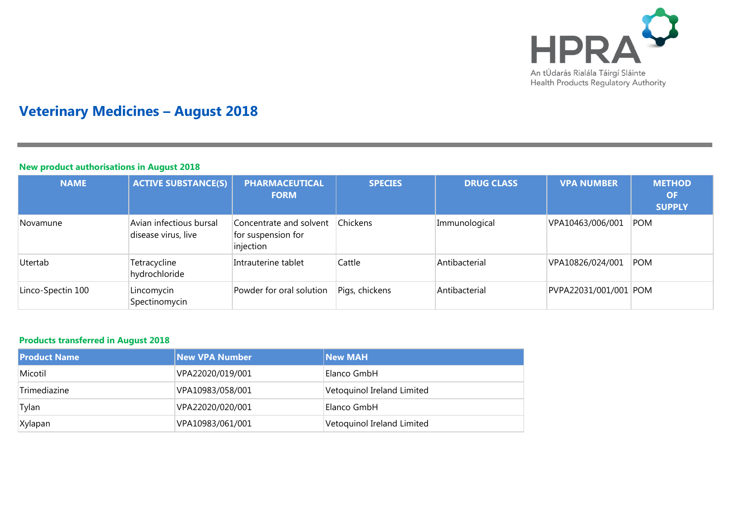

# **Veterinary Medicines – August 2018**

## **New product authorisations in August 2018**

| <b>NAME</b>       | <b>ACTIVE SUBSTANCE(S)</b>                     | <b>PHARMACEUTICAL</b><br><b>FORM</b>                       | <b>SPECIES</b>  | <b>DRUG CLASS</b> | <b>VPA NUMBER</b>     | <b>METHOD</b><br><b>OF</b><br><b>SUPPLY</b> |
|-------------------|------------------------------------------------|------------------------------------------------------------|-----------------|-------------------|-----------------------|---------------------------------------------|
| Novamune          | Avian infectious bursal<br>disease virus, live | Concentrate and solvent<br>for suspension for<br>injection | <b>Chickens</b> | Immunological     | VPA10463/006/001      | <b>POM</b>                                  |
| Utertab           | Tetracycline<br>hydrochloride                  | Intrauterine tablet                                        | Cattle          | Antibacterial     | VPA10826/024/001      | POM                                         |
| Linco-Spectin 100 | Lincomycin<br>Spectinomycin                    | Powder for oral solution                                   | Pigs, chickens  | Antibacterial     | PVPA22031/001/001 POM |                                             |

## **Products transferred in August 2018**

| l Product Name | <b>New VPA Number</b> | <b>New MAH</b>             |
|----------------|-----------------------|----------------------------|
| Micotil        | VPA22020/019/001      | Elanco GmbH                |
| Trimediazine   | VPA10983/058/001      | Vetoquinol Ireland Limited |
| Tylan          | VPA22020/020/001      | Elanco GmbH                |
| Xylapan        | VPA10983/061/001      | Vetoquinol Ireland Limited |